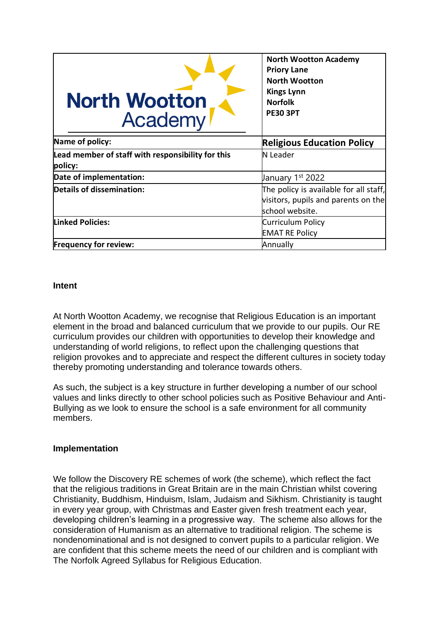| <b>North Wootton</b><br>Academy                              | <b>North Wootton Academy</b><br><b>Priory Lane</b><br><b>North Wootton</b><br><b>Kings Lynn</b><br><b>Norfolk</b><br><b>PE30 3PT</b> |
|--------------------------------------------------------------|--------------------------------------------------------------------------------------------------------------------------------------|
| Name of policy:                                              | <b>Religious Education Policy</b>                                                                                                    |
| Lead member of staff with responsibility for this<br>policy: | N Leader                                                                                                                             |
| Date of implementation:                                      | January 1st 2022                                                                                                                     |
| Details of dissemination:                                    | The policy is available for all staff,<br>visitors, pupils and parents on the<br>school website.                                     |
| <b>Linked Policies:</b>                                      | Curriculum Policy<br><b>EMAT RE Policy</b>                                                                                           |
| <b>Frequency for review:</b>                                 | Annually                                                                                                                             |

## **Intent**

At North Wootton Academy, we recognise that Religious Education is an important element in the broad and balanced curriculum that we provide to our pupils. Our RE curriculum provides our children with opportunities to develop their knowledge and understanding of world religions, to reflect upon the challenging questions that religion provokes and to appreciate and respect the different cultures in society today thereby promoting understanding and tolerance towards others.

As such, the subject is a key structure in further developing a number of our school values and links directly to other school policies such as Positive Behaviour and Anti-Bullying as we look to ensure the school is a safe environment for all community members.

# **Implementation**

We follow the Discovery RE schemes of work (the scheme), which reflect the fact that the religious traditions in Great Britain are in the main Christian whilst covering Christianity, Buddhism, Hinduism, Islam, Judaism and Sikhism. Christianity is taught in every year group, with Christmas and Easter given fresh treatment each year, developing children's learning in a progressive way. The scheme also allows for the consideration of Humanism as an alternative to traditional religion. The scheme is nondenominational and is not designed to convert pupils to a particular religion. We are confident that this scheme meets the need of our children and is compliant with The Norfolk Agreed Syllabus for Religious Education.